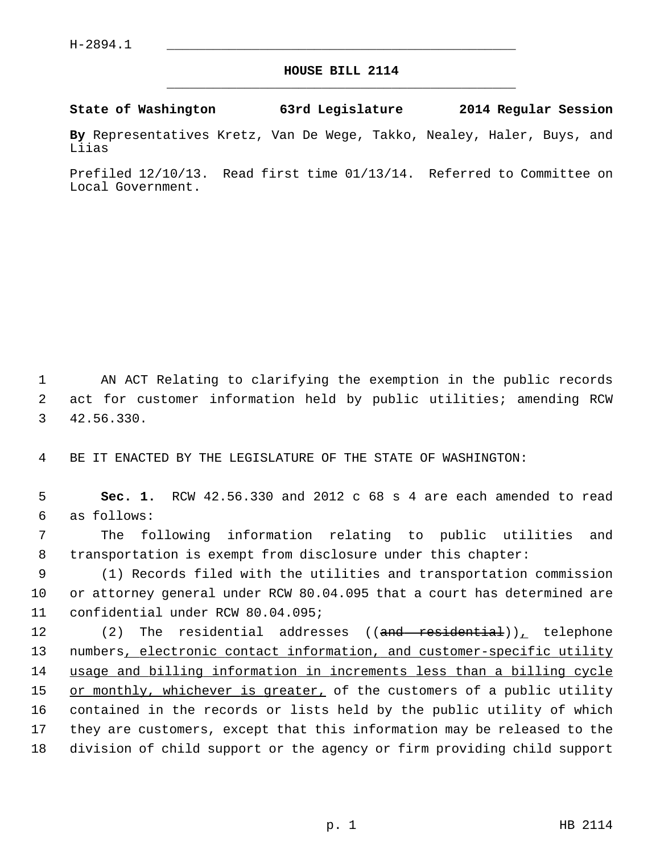## **HOUSE BILL 2114** \_\_\_\_\_\_\_\_\_\_\_\_\_\_\_\_\_\_\_\_\_\_\_\_\_\_\_\_\_\_\_\_\_\_\_\_\_\_\_\_\_\_\_\_\_

**State of Washington 63rd Legislature 2014 Regular Session**

**By** Representatives Kretz, Van De Wege, Takko, Nealey, Haler, Buys, and Liias

Prefiled 12/10/13. Read first time 01/13/14. Referred to Committee on Local Government.

 1 AN ACT Relating to clarifying the exemption in the public records 2 act for customer information held by public utilities; amending RCW 3 42.56.330.

4 BE IT ENACTED BY THE LEGISLATURE OF THE STATE OF WASHINGTON:

 5 **Sec. 1.** RCW 42.56.330 and 2012 c 68 s 4 are each amended to read 6 as follows:

 7 The following information relating to public utilities and 8 transportation is exempt from disclosure under this chapter:

 9 (1) Records filed with the utilities and transportation commission 10 or attorney general under RCW 80.04.095 that a court has determined are 11 confidential under RCW 80.04.095;

12 (2) The residential addresses ((<del>and residential</del>)), telephone 13 numbers, electronic contact information, and customer-specific utility 14 usage and billing information in increments less than a billing cycle 15 or monthly, whichever is greater, of the customers of a public utility 16 contained in the records or lists held by the public utility of which 17 they are customers, except that this information may be released to the 18 division of child support or the agency or firm providing child support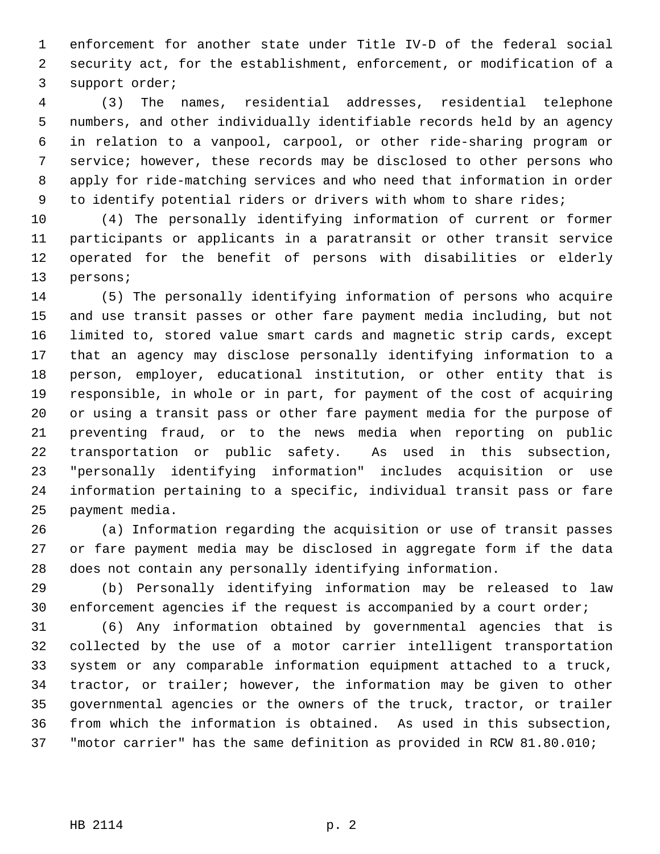1 enforcement for another state under Title IV-D of the federal social 2 security act, for the establishment, enforcement, or modification of a 3 support order;

 4 (3) The names, residential addresses, residential telephone 5 numbers, and other individually identifiable records held by an agency 6 in relation to a vanpool, carpool, or other ride-sharing program or 7 service; however, these records may be disclosed to other persons who 8 apply for ride-matching services and who need that information in order 9 to identify potential riders or drivers with whom to share rides;

10 (4) The personally identifying information of current or former 11 participants or applicants in a paratransit or other transit service 12 operated for the benefit of persons with disabilities or elderly 13 persons;

14 (5) The personally identifying information of persons who acquire 15 and use transit passes or other fare payment media including, but not 16 limited to, stored value smart cards and magnetic strip cards, except 17 that an agency may disclose personally identifying information to a 18 person, employer, educational institution, or other entity that is 19 responsible, in whole or in part, for payment of the cost of acquiring 20 or using a transit pass or other fare payment media for the purpose of 21 preventing fraud, or to the news media when reporting on public 22 transportation or public safety. As used in this subsection, 23 "personally identifying information" includes acquisition or use 24 information pertaining to a specific, individual transit pass or fare 25 payment media.

26 (a) Information regarding the acquisition or use of transit passes 27 or fare payment media may be disclosed in aggregate form if the data 28 does not contain any personally identifying information.

29 (b) Personally identifying information may be released to law 30 enforcement agencies if the request is accompanied by a court order;

31 (6) Any information obtained by governmental agencies that is 32 collected by the use of a motor carrier intelligent transportation 33 system or any comparable information equipment attached to a truck, 34 tractor, or trailer; however, the information may be given to other 35 governmental agencies or the owners of the truck, tractor, or trailer 36 from which the information is obtained. As used in this subsection, 37 "motor carrier" has the same definition as provided in RCW 81.80.010;